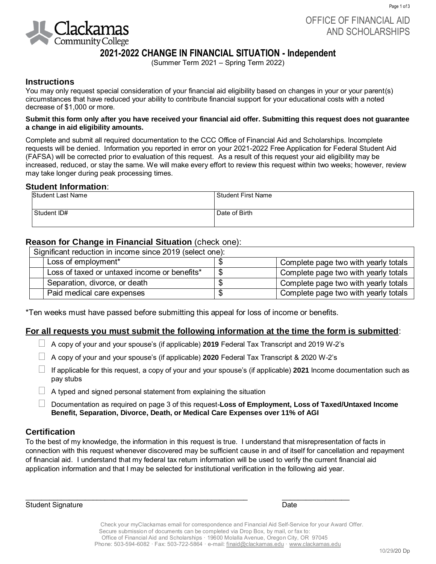

Page 1 of 3

## **2021-2022 CHANGE IN FINANCIAL SITUATION - Independent**

(Summer Term 2021 – Spring Term 2022)

#### **Instructions**

You may only request special consideration of your financial aid eligibility based on changes in your or your parent(s) circumstances that have reduced your ability to contribute financial support for your educational costs with a noted decrease of \$1,000 or more.

#### **Submit this form only after you have received your financial aid offer. Submitting this request does not guarantee a change in aid eligibility amounts.**

Complete and submit all required documentation to the CCC Office of Financial Aid and Scholarships. Incomplete requests will be denied. Information you reported in error on your 2021-2022 Free Application for Federal Student Aid (FAFSA) will be corrected prior to evaluation of this request. As a result of this request your aid eligibility may be increased, reduced, or stay the same. We will make every effort to review this request within two weeks; however, review may take longer during peak processing times.

#### **Student Information**:

| <b>Student Last Name</b> | <sup>l</sup> Student First Name |  |
|--------------------------|---------------------------------|--|
|                          |                                 |  |
| Student ID#              | Date of Birth                   |  |
|                          |                                 |  |

#### **Reason for Change in Financial Situation** (check one):

| Significant reduction in income since 2019 (select one): |                                              |   |                                      |  |  |  |
|----------------------------------------------------------|----------------------------------------------|---|--------------------------------------|--|--|--|
|                                                          | Loss of employment*                          |   | Complete page two with yearly totals |  |  |  |
|                                                          | Loss of taxed or untaxed income or benefits* |   | Complete page two with yearly totals |  |  |  |
|                                                          | Separation, divorce, or death                |   | Complete page two with yearly totals |  |  |  |
|                                                          | Paid medical care expenses                   | D | Complete page two with yearly totals |  |  |  |

\*Ten weeks must have passed before submitting this appeal for loss of income or benefits.

#### **For all requests you must submit the following information at the time the form is submitted**:

- A copy of your and your spouse's (if applicable) **2019** Federal Tax Transcript and 2019 W-2's
- A copy of your and your spouse's (if applicable) **2020** Federal Tax Transcript & 2020 W-2's

\_\_\_\_\_\_\_\_\_\_\_\_\_\_\_\_\_\_\_\_\_\_\_\_\_\_\_\_\_\_\_\_\_\_\_\_\_\_\_\_\_\_\_\_\_\_\_\_\_\_\_\_\_\_\_\_ \_\_\_\_\_\_\_\_\_\_\_\_\_\_\_\_\_

- If applicable for this request, a copy of your and your spouse's (if applicable) **2021** Income documentation such as pay stubs
- $\Box$  A typed and signed personal statement from explaining the situation
	- Documentation as required on page 3 of this request-**Loss of Employment, Loss of Taxed/Untaxed Income Benefit, Separation, Divorce, Death, or Medical Care Expenses over 11% of AGI**

#### **Certification**

To the best of my knowledge, the information in this request is true. I understand that misrepresentation of facts in connection with this request whenever discovered may be sufficient cause in and of itself for cancellation and repayment of financial aid. I understand that my federal tax return information will be used to verify the current financial aid application information and that I may be selected for institutional verification in the following aid year.

Student Signature Date

Check your myClackamas email for correspondence and Financial Aid Self-Service for your Award Offer. Secure submission of documents can be completed via Drop Box, by mail, or fax to: Office of Financial Aid and Scholarships · 19600 Molalla Avenue, Oregon City, OR 97045 Phone: 503-594-6082 · Fax: 503-722-5864 · e-mail: [finaid@clackamas.edu ·](mailto:finaid@clackamas.edu) www.clackamas.edu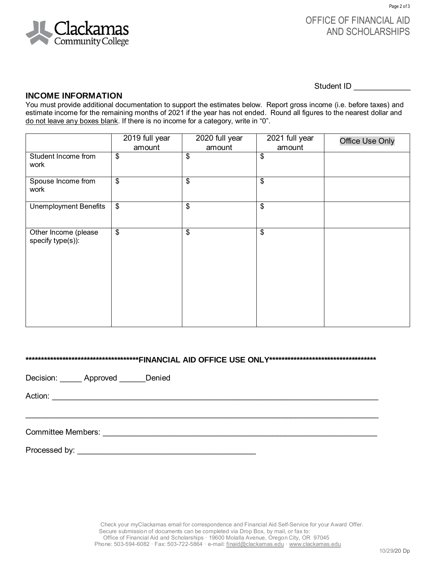

## OFFICE OF FINANCIAL AID AND SCHOLARSHIPS

Student ID \_\_\_\_\_\_\_\_\_\_\_\_\_

#### **INCOME INFORMATION**

You must provide additional documentation to support the estimates below. Report gross income (i.e. before taxes) and estimate income for the remaining months of 2021 if the year has not ended. Round all figures to the nearest dollar and do not leave any boxes blank. If there is no income for a category, write in "0".

|                                           | 2019 full year<br>amount | 2020 full year<br>amount | 2021 full year<br>amount | <b>Office Use Only</b> |
|-------------------------------------------|--------------------------|--------------------------|--------------------------|------------------------|
| Student Income from<br>work               | \$                       | \$                       | \$                       |                        |
| Spouse Income from<br>work                | \$                       | \$                       | \$                       |                        |
| <b>Unemployment Benefits</b>              | \$                       | \$                       | \$                       |                        |
| Other Income (please<br>specify type(s)): | \$                       | \$                       | \$                       |                        |

**\*\*\*\*\*\*\*\*\*\*\*\*\*\*\*\*\*\*\*\*\*\*\*\*\*\*\*\*\*\*\*\*\*\*\*\*\*FINANCIAL AID OFFICE USE ONLY\*\*\*\*\*\*\*\*\*\*\*\*\*\*\*\*\*\*\*\*\*\*\*\*\*\*\*\*\*\*\*\*\*\*\***

Decision: \_\_\_\_\_\_ Approved \_\_\_\_\_\_ Denied

Action: \_\_\_\_\_\_\_\_\_\_\_\_\_\_\_\_\_\_\_\_\_\_\_\_\_\_\_\_\_\_\_\_\_\_\_\_\_\_\_\_\_\_\_\_\_\_\_\_\_\_\_\_\_\_\_\_\_\_\_\_\_\_\_\_\_\_\_\_\_\_\_\_\_\_\_

Committee Members: \_\_\_\_\_\_\_\_\_\_\_\_\_\_\_\_\_\_\_\_\_\_\_\_\_\_\_\_\_\_\_\_\_\_\_\_\_\_\_\_\_\_\_\_\_\_\_\_\_\_\_\_\_\_\_\_\_\_\_\_\_\_\_

Processed by:  $\blacksquare$